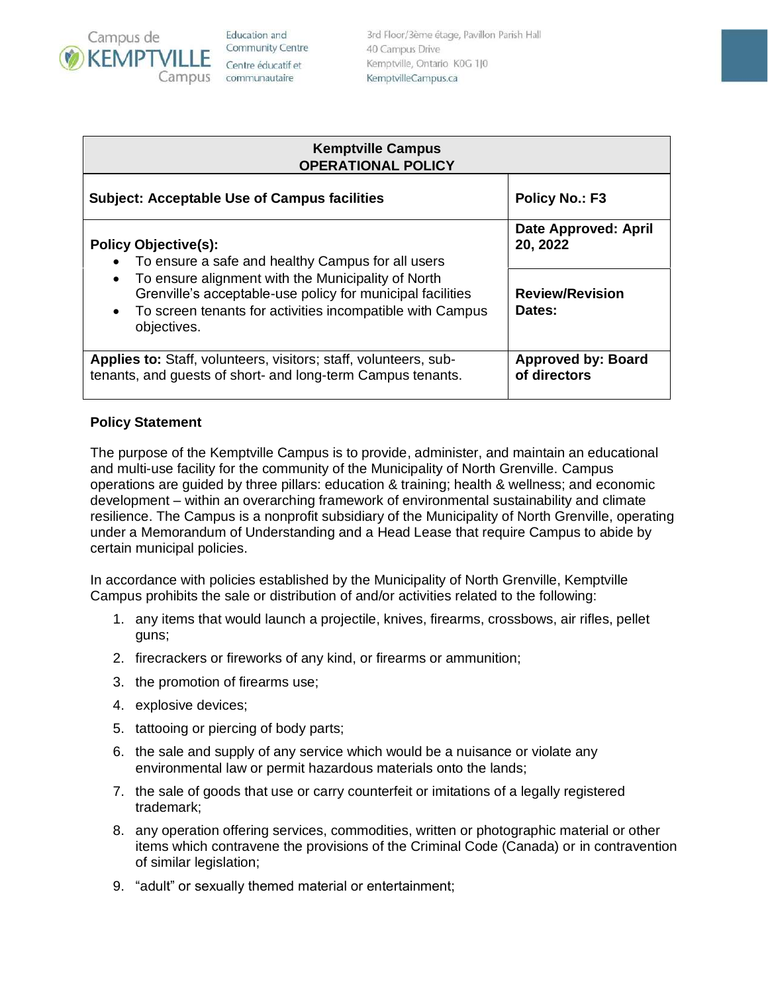

Education and **Community Centre** Centre éducatif et communautaire

3rd Floor/3ème étage, Pavillon Parish Hall 40 Campus Drive Kemptville, Ontario K0G 1J0 KemptvilleCampus.ca

| <b>Kemptville Campus</b><br><b>OPERATIONAL POLICY</b>                                                                                                                                                                                                                                                                   |                                           |
|-------------------------------------------------------------------------------------------------------------------------------------------------------------------------------------------------------------------------------------------------------------------------------------------------------------------------|-------------------------------------------|
| <b>Subject: Acceptable Use of Campus facilities</b>                                                                                                                                                                                                                                                                     | <b>Policy No.: F3</b>                     |
| <b>Policy Objective(s):</b><br>To ensure a safe and healthy Campus for all users<br>$\bullet$<br>To ensure alignment with the Municipality of North<br>$\bullet$<br>Grenville's acceptable-use policy for municipal facilities<br>To screen tenants for activities incompatible with Campus<br>$\bullet$<br>objectives. | Date Approved: April<br>20, 2022          |
|                                                                                                                                                                                                                                                                                                                         | <b>Review/Revision</b><br>Dates:          |
| <b>Applies to:</b> Staff, volunteers, visitors; staff, volunteers, sub-<br>tenants, and guests of short- and long-term Campus tenants.                                                                                                                                                                                  | <b>Approved by: Board</b><br>of directors |

## **Policy Statement**

The purpose of the Kemptville Campus is to provide, administer, and maintain an educational and multi-use facility for the community of the Municipality of North Grenville. Campus operations are guided by three pillars: education & training; health & wellness; and economic development – within an overarching framework of environmental sustainability and climate resilience. The Campus is a nonprofit subsidiary of the Municipality of North Grenville, operating under a Memorandum of Understanding and a Head Lease that require Campus to abide by certain municipal policies.

In accordance with policies established by the Municipality of North Grenville, Kemptville Campus prohibits the sale or distribution of and/or activities related to the following:

- 1. any items that would launch a projectile, knives, firearms, crossbows, air rifles, pellet guns;
- 2. firecrackers or fireworks of any kind, or firearms or ammunition;
- 3. the promotion of firearms use;
- 4. explosive devices;
- 5. tattooing or piercing of body parts;
- 6. the sale and supply of any service which would be a nuisance or violate any environmental law or permit hazardous materials onto the lands;
- 7. the sale of goods that use or carry counterfeit or imitations of a legally registered trademark;
- 8. any operation offering services, commodities, written or photographic material or other items which contravene the provisions of the Criminal Code (Canada) or in contravention of similar legislation;
- 9. "adult" or sexually themed material or entertainment;